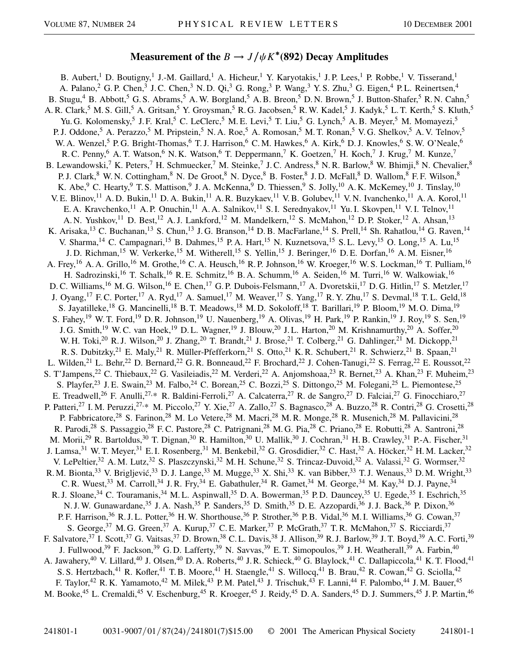## **Measurement of the**  $B \to J/\psi K^*(892)$  Decay Amplitudes

B. Aubert,<sup>1</sup> D. Boutigny,<sup>1</sup> J.-M. Gaillard,<sup>1</sup> A. Hicheur,<sup>1</sup> Y. Karyotakis,<sup>1</sup> J. P. Lees,<sup>1</sup> P. Robbe,<sup>1</sup> V. Tisserand,<sup>1</sup> A. Palano,<sup>2</sup> G. P. Chen,<sup>3</sup> J. C. Chen,<sup>3</sup> N. D. Qi,<sup>3</sup> G. Rong,<sup>3</sup> P. Wang,<sup>3</sup> Y. S. Zhu,<sup>3</sup> G. Eigen,<sup>4</sup> P. L. Reinertsen,<sup>4</sup> B. Stugu,<sup>4</sup> B. Abbott,<sup>5</sup> G. S. Abrams,<sup>5</sup> A. W. Borgland,<sup>5</sup> A. B. Breon,<sup>5</sup> D. N. Brown,<sup>5</sup> J. Button-Shafer,<sup>5</sup> R. N. Cahn,<sup>5</sup> A. R. Clark,<sup>5</sup> M. S. Gill,<sup>5</sup> A. Gritsan,<sup>5</sup> Y. Groysman,<sup>5</sup> R. G. Jacobsen,<sup>5</sup> R. W. Kadel,<sup>5</sup> J. Kadyk,<sup>5</sup> L. T. Kerth,<sup>5</sup> S. Kluth,<sup>5</sup> Yu. G. Kolomensky,<sup>5</sup> J. F. Kral,<sup>5</sup> C. LeClerc,<sup>5</sup> M. E. Levi,<sup>5</sup> T. Liu,<sup>5</sup> G. Lynch,<sup>5</sup> A. B. Meyer,<sup>5</sup> M. Momayezi,<sup>5</sup> P. J. Oddone,<sup>5</sup> A. Perazzo,<sup>5</sup> M. Pripstein,<sup>5</sup> N. A. Roe,<sup>5</sup> A. Romosan,<sup>5</sup> M. T. Ronan,<sup>5</sup> V. G. Shelkov,<sup>5</sup> A. V. Telnov,<sup>5</sup> W. A. Wenzel,<sup>5</sup> P. G. Bright-Thomas,<sup>6</sup> T. J. Harrison,<sup>6</sup> C. M. Hawkes,<sup>6</sup> A. Kirk,<sup>6</sup> D. J. Knowles,<sup>6</sup> S. W. O'Neale,<sup>6</sup> R. C. Penny, <sup>6</sup> A. T. Watson, <sup>6</sup> N. K. Watson, <sup>6</sup> T. Deppermann, <sup>7</sup> K. Goetzen, <sup>7</sup> H. Koch, <sup>7</sup> J. Krug, <sup>7</sup> M. Kunze, <sup>7</sup> B. Lewandowski,<sup>7</sup> K. Peters,<sup>7</sup> H. Schmuecker,<sup>7</sup> M. Steinke,<sup>7</sup> J. C. Andress,<sup>8</sup> N. R. Barlow,<sup>8</sup> W. Bhimji,<sup>8</sup> N. Chevalier,<sup>8</sup> P. J. Clark,<sup>8</sup> W. N. Cottingham,<sup>8</sup> N. De Groot,<sup>8</sup> N. Dyce,<sup>8</sup> B. Foster,<sup>8</sup> J. D. McFall,<sup>8</sup> D. Wallom,<sup>8</sup> F. F. Wilson,<sup>8</sup> K. Abe,<sup>9</sup> C. Hearty,<sup>9</sup> T. S. Mattison,<sup>9</sup> J. A. McKenna,<sup>9</sup> D. Thiessen,<sup>9</sup> S. Jolly,<sup>10</sup> A. K. McKemey,<sup>10</sup> J. Tinslay,<sup>10</sup> V. E. Blinov,<sup>11</sup> A. D. Bukin,<sup>11</sup> D. A. Bukin,<sup>11</sup> A. R. Buzykaev,<sup>11</sup> V. B. Golubev,<sup>11</sup> V. N. Ivanchenko,<sup>11</sup> A. A. Korol,<sup>11</sup> E. A. Kravchenko,<sup>11</sup> A. P. Onuchin,<sup>11</sup> A. A. Salnikov,<sup>11</sup> S. I. Serednyakov,<sup>11</sup> Yu. I. Skovpen,<sup>11</sup> V. I. Telnov,<sup>11</sup> A. N. Yushkov,<sup>11</sup> D. Best,<sup>12</sup> A. J. Lankford,<sup>12</sup> M. Mandelkern,<sup>12</sup> S. McMahon,<sup>12</sup> D. P. Stoker,<sup>12</sup> A. Ahsan,<sup>13</sup> K. Arisaka,<sup>13</sup> C. Buchanan,<sup>13</sup> S. Chun,<sup>13</sup> J. G. Branson,<sup>14</sup> D. B. MacFarlane,<sup>14</sup> S. Prell,<sup>14</sup> Sh. Rahatlou,<sup>14</sup> G. Raven,<sup>14</sup> V. Sharma,<sup>14</sup> C. Campagnari,<sup>15</sup> B. Dahmes,<sup>15</sup> P. A. Hart,<sup>15</sup> N. Kuznetsova,<sup>15</sup> S. L. Levy,<sup>15</sup> O. Long,<sup>15</sup> A. Lu,<sup>15</sup> J. D. Richman,<sup>15</sup> W. Verkerke,<sup>15</sup> M. Witherell,<sup>15</sup> S. Yellin,<sup>15</sup> J. Beringer,<sup>16</sup> D. E. Dorfan,<sup>16</sup> A. M. Eisner,<sup>16</sup> A. Frey,<sup>16</sup> A. A. Grillo,<sup>16</sup> M. Grothe,<sup>16</sup> C. A. Heusch,<sup>16</sup> R. P. Johnson,<sup>16</sup> W. Kroeger,<sup>16</sup> W. S. Lockman,<sup>16</sup> T. Pulliam,<sup>16</sup> H. Sadrozinski,<sup>16</sup> T. Schalk,<sup>16</sup> R. E. Schmitz,<sup>16</sup> B. A. Schumm,<sup>16</sup> A. Seiden,<sup>16</sup> M. Turri,<sup>16</sup> W. Walkowiak,<sup>16</sup> D. C. Williams,<sup>16</sup> M. G. Wilson,<sup>16</sup> E. Chen,<sup>17</sup> G. P. Dubois-Felsmann,<sup>17</sup> A. Dvoretskii,<sup>17</sup> D. G. Hitlin,<sup>17</sup> S. Metzler,<sup>17</sup> J. Oyang,<sup>17</sup> F. C. Porter,<sup>17</sup> A. Ryd,<sup>17</sup> A. Samuel,<sup>17</sup> M. Weaver,<sup>17</sup> S. Yang,<sup>17</sup> R. Y. Zhu,<sup>17</sup> S. Devmal,<sup>18</sup> T. L. Geld,<sup>18</sup> S. Jayatilleke,<sup>18</sup> G. Mancinelli,<sup>18</sup> B. T. Meadows,<sup>18</sup> M. D. Sokoloff,<sup>18</sup> T. Barillari,<sup>19</sup> P. Bloom,<sup>19</sup> M. O. Dima,<sup>19</sup> S. Fahey,<sup>19</sup> W. T. Ford,<sup>19</sup> D. R. Johnson,<sup>19</sup> U. Nauenberg,<sup>19</sup> A. Olivas,<sup>19</sup> H. Park,<sup>19</sup> P. Rankin,<sup>19</sup> J. Roy,<sup>19</sup> S. Sen,<sup>19</sup> J. G. Smith,<sup>19</sup> W. C. van Hoek,<sup>19</sup> D. L. Wagner,<sup>19</sup> J. Blouw,<sup>20</sup> J. L. Harton,<sup>20</sup> M. Krishnamurthy,<sup>20</sup> A. Soffer,<sup>20</sup> W. H. Toki,<sup>20</sup> R. J. Wilson,<sup>20</sup> J. Zhang,<sup>20</sup> T. Brandt,<sup>21</sup> J. Brose,<sup>21</sup> T. Colberg,<sup>21</sup> G. Dahlinger,<sup>21</sup> M. Dickopp,<sup>21</sup> R. S. Dubitzky,<sup>21</sup> E. Maly,<sup>21</sup> R. Müller-Pfefferkorn,<sup>21</sup> S. Otto,<sup>21</sup> K. R. Schubert,<sup>21</sup> R. Schwierz,<sup>21</sup> B. Spaan,<sup>21</sup> L. Wilden,<sup>21</sup> L. Behr,<sup>22</sup> D. Bernard,<sup>22</sup> G. R. Bonneaud,<sup>22</sup> F. Brochard,<sup>22</sup> J. Cohen-Tanugi,<sup>22</sup> S. Ferrag,<sup>22</sup> E. Roussot,<sup>22</sup> S. T'Jampens,<sup>22</sup> C. Thiebaux,<sup>22</sup> G. Vasileiadis,<sup>22</sup> M. Verderi,<sup>22</sup> A. Anjomshoaa,<sup>23</sup> R. Bernet,<sup>23</sup> A. Khan,<sup>23</sup> F. Muheim,<sup>23</sup> S. Playfer,<sup>23</sup> J. E. Swain,<sup>23</sup> M. Falbo,<sup>24</sup> C. Borean,<sup>25</sup> C. Bozzi,<sup>25</sup> S. Dittongo,<sup>25</sup> M. Folegani,<sup>25</sup> L. Piemontese,<sup>25</sup> E. Treadwell,<sup>26</sup> F. Anulli,<sup>27,\*</sup> R. Baldini-Ferroli,<sup>27</sup> A. Calcaterra,<sup>27</sup> R. de Sangro,<sup>27</sup> D. Falciai,<sup>27</sup> G. Finocchiaro,<sup>27</sup> P. Patteri,<sup>27</sup> I. M. Peruzzi,<sup>27,\*</sup> M. Piccolo,<sup>27</sup> Y. Xie,<sup>27</sup> A. Zallo,<sup>27</sup> S. Bagnasco,<sup>28</sup> A. Buzzo,<sup>28</sup> R. Contri,<sup>28</sup> G. Crosetti,<sup>28</sup> P. Fabbricatore,<sup>28</sup> S. Farinon,<sup>28</sup> M. Lo Vetere,<sup>28</sup> M. Macri,<sup>28</sup> M. R. Monge,<sup>28</sup> R. Musenich,<sup>28</sup> M. Pallavicini,<sup>28</sup> R. Parodi,<sup>28</sup> S. Passaggio,<sup>28</sup> F. C. Pastore,<sup>28</sup> C. Patrignani,<sup>28</sup> M. G. Pia,<sup>28</sup> C. Priano,<sup>28</sup> E. Robutti,<sup>28</sup> A. Santroni,<sup>28</sup> M. Morii,<sup>29</sup> R. Bartoldus,<sup>30</sup> T. Dignan,<sup>30</sup> R. Hamilton,<sup>30</sup> U. Mallik,<sup>30</sup> J. Cochran,<sup>31</sup> H. B. Crawley,<sup>31</sup> P.-A. Fischer,<sup>31</sup> J. Lamsa,<sup>31</sup> W. T. Meyer,<sup>31</sup> E. I. Rosenberg,<sup>31</sup> M. Benkebil,<sup>32</sup> G. Grosdidier,<sup>32</sup> C. Hast,<sup>32</sup> A. Höcker,<sup>32</sup> H. M. Lacker,<sup>32</sup> V. LePeltier,<sup>32</sup> A. M. Lutz,<sup>32</sup> S. Plaszczynski,<sup>32</sup> M. H. Schune,<sup>32</sup> S. Trincaz-Duvoid,<sup>32</sup> A. Valassi,<sup>32</sup> G. Wormser,<sup>32</sup> R. M. Bionta,<sup>33</sup> V. Brigljević,<sup>33</sup> D. J. Lange,<sup>33</sup> M. Mugge,<sup>33</sup> X. Shi,<sup>33</sup> K. van Bibber,<sup>33</sup> T. J. Wenaus,<sup>33</sup> D. M. Wright,<sup>33</sup> C. R. Wuest,<sup>33</sup> M. Carroll,<sup>34</sup> J. R. Fry,<sup>34</sup> E. Gabathuler,<sup>34</sup> R. Gamet,<sup>34</sup> M. George,<sup>34</sup> M. Kay,<sup>34</sup> D. J. Payne,<sup>34</sup> R. J. Sloane,<sup>34</sup> C. Touramanis,<sup>34</sup> M. L. Aspinwall,<sup>35</sup> D. A. Bowerman,<sup>35</sup> P. D. Dauncey,<sup>35</sup> U. Egede,<sup>35</sup> I. Eschrich,<sup>35</sup> N. J. W. Gunawardane,<sup>35</sup> J. A. Nash,<sup>35</sup> P. Sanders,<sup>35</sup> D. Smith,<sup>35</sup> D. E. Azzopardi,<sup>36</sup> J. J. Back,<sup>36</sup> P. Dixon,<sup>36</sup> P. F. Harrison,<sup>36</sup> R. J. L. Potter,<sup>36</sup> H. W. Shorthouse,<sup>36</sup> P. Strother,<sup>36</sup> P. B. Vidal,<sup>36</sup> M. I. Williams,<sup>36</sup> G. Cowan,<sup>37</sup> S. George,<sup>37</sup> M. G. Green,<sup>37</sup> A. Kurup,<sup>37</sup> C. E. Marker,<sup>37</sup> P. McGrath,<sup>37</sup> T. R. McMahon,<sup>37</sup> S. Ricciardi,<sup>37</sup> F. Salvatore,<sup>37</sup> I. Scott,<sup>37</sup> G. Vaitsas,<sup>37</sup> D. Brown,<sup>38</sup> C.L. Davis,<sup>38</sup> J. Allison,<sup>39</sup> R.J. Barlow,<sup>39</sup> J.T. Boyd,<sup>39</sup> A.C. Forti,<sup>39</sup> J. Fullwood,<sup>39</sup> F. Jackson,<sup>39</sup> G. D. Lafferty,<sup>39</sup> N. Savvas,<sup>39</sup> E. T. Simopoulos,<sup>39</sup> J. H. Weatherall,<sup>39</sup> A. Farbin,<sup>40</sup> A. Jawahery,<sup>40</sup> V. Lillard,<sup>40</sup> J. Olsen,<sup>40</sup> D. A. Roberts,<sup>40</sup> J. R. Schieck,<sup>40</sup> G. Blaylock,<sup>41</sup> C. Dallapiccola,<sup>41</sup> K. T. Flood,<sup>41</sup> S. S. Hertzbach,<sup>41</sup> R. Kofler,<sup>41</sup> T. B. Moore,<sup>41</sup> H. Staengle,<sup>41</sup> S. Willocq,<sup>41</sup> B. Brau,<sup>42</sup> R. Cowan,<sup>42</sup> G. Sciolla,<sup>42</sup> F. Taylor,<sup>42</sup> R. K. Yamamoto,<sup>42</sup> M. Milek,<sup>43</sup> P. M. Patel,<sup>43</sup> J. Trischuk,<sup>43</sup> F. Lanni,<sup>44</sup> F. Palombo,<sup>44</sup> J. M. Bauer,<sup>45</sup> M. Booke,<sup>45</sup> L. Cremaldi,<sup>45</sup> V. Eschenburg,<sup>45</sup> R. Kroeger,<sup>45</sup> J. Reidy,<sup>45</sup> D. A. Sanders,<sup>45</sup> D. J. Summers,<sup>45</sup> J. P. Martin,<sup>46</sup>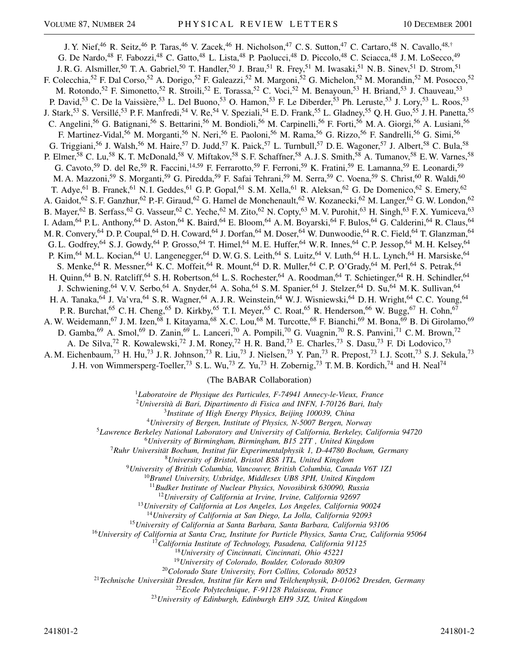J. Y. Nief,<sup>46</sup> R. Seitz,<sup>46</sup> P. Taras,<sup>46</sup> V. Zacek,<sup>46</sup> H. Nicholson,<sup>47</sup> C. S. Sutton,<sup>47</sup> C. Cartaro,<sup>48</sup> N. Cavallo,<sup>48,†</sup> G. De Nardo,<sup>48</sup> F. Fabozzi,<sup>48</sup> C. Gatto,<sup>48</sup> L. Lista,<sup>48</sup> P. Paolucci,<sup>48</sup> D. Piccolo,<sup>48</sup> C. Sciacca,<sup>48</sup> J.M. LoSecco,<sup>49</sup> J. R. G. Alsmiller,<sup>50</sup> T. A. Gabriel,<sup>50</sup> T. Handler,<sup>50</sup> J. Brau,<sup>51</sup> R. Frey,<sup>51</sup> M. Iwasaki,<sup>51</sup> N. B. Sinev,<sup>51</sup> D. Strom,<sup>51</sup> F. Colecchia,<sup>52</sup> F. Dal Corso,<sup>52</sup> A. Dorigo,<sup>52</sup> F. Galeazzi,<sup>52</sup> M. Margoni,<sup>52</sup> G. Michelon,<sup>52</sup> M. Morandin,<sup>52</sup> M. Posocco,<sup>52</sup> M. Rotondo,<sup>52</sup> F. Simonetto,<sup>52</sup> R. Stroili,<sup>52</sup> E. Torassa,<sup>52</sup> C. Voci,<sup>52</sup> M. Benayoun,<sup>53</sup> H. Briand,<sup>53</sup> J. Chauveau,<sup>53</sup> P. David,<sup>53</sup> C. De la Vaissière,<sup>53</sup> L. Del Buono,<sup>53</sup> O. Hamon,<sup>53</sup> F. Le Diberder,<sup>53</sup> Ph. Leruste,<sup>53</sup> J. Lory,<sup>53</sup> L. Roos,<sup>53</sup> J. Stark,<sup>53</sup> S. Versillé,<sup>53</sup> P.F. Manfredi,<sup>54</sup> V. Re,<sup>54</sup> V. Speziali,<sup>54</sup> E.D. Frank,<sup>55</sup> L. Gladney,<sup>55</sup> Q.H. Guo,<sup>55</sup> J.H. Panetta,<sup>55</sup> C. Angelini,<sup>56</sup> G. Batignani,<sup>56</sup> S. Bettarini,<sup>56</sup> M. Bondioli,<sup>56</sup> M. Carpinelli,<sup>56</sup> F. Forti,<sup>56</sup> M. A. Giorgi,<sup>56</sup> A. Lusiani,<sup>56</sup> F. Martinez-Vidal,<sup>56</sup> M. Morganti,<sup>56</sup> N. Neri,<sup>56</sup> E. Paoloni,<sup>56</sup> M. Rama,<sup>56</sup> G. Rizzo,<sup>56</sup> F. Sandrelli,<sup>56</sup> G. Simi,<sup>56</sup> G. Triggiani,<sup>56</sup> J. Walsh,<sup>56</sup> M. Haire,<sup>57</sup> D. Judd,<sup>57</sup> K. Paick,<sup>57</sup> L. Turnbull,<sup>57</sup> D. E. Wagoner,<sup>57</sup> J. Albert,<sup>58</sup> C. Bula,<sup>58</sup> P. Elmer,<sup>58</sup> C. Lu,<sup>58</sup> K. T. McDonald,<sup>58</sup> V. Miftakov,<sup>58</sup> S. F. Schaffner,<sup>58</sup> A. J. S. Smith,<sup>58</sup> A. Tumanov,<sup>58</sup> E. W. Varnes,<sup>58</sup> G. Cavoto,<sup>59</sup> D. del Re,<sup>59</sup> R. Faccini,<sup>14,59</sup> F. Ferrarotto,<sup>59</sup> F. Ferroni,<sup>59</sup> K. Fratini,<sup>59</sup> E. Lamanna,<sup>59</sup> E. Leonardi,<sup>59</sup> M. A. Mazzoni,<sup>59</sup> S. Morganti,<sup>59</sup> G. Piredda,<sup>59</sup> F. Safai Tehrani,<sup>59</sup> M. Serra,<sup>59</sup> C. Voena,<sup>59</sup> S. Christ,<sup>60</sup> R. Waldi,<sup>60</sup> T. Adye,<sup>61</sup> B. Franek,<sup>61</sup> N. I. Geddes,<sup>61</sup> G. P. Gopal,<sup>61</sup> S. M. Xella,<sup>61</sup> R. Aleksan,<sup>62</sup> G. De Domenico,<sup>62</sup> S. Emery,<sup>62</sup> A. Gaidot,<sup>62</sup> S. F. Ganzhur,<sup>62</sup> P.-F. Giraud,<sup>62</sup> G. Hamel de Monchenault,<sup>62</sup> W. Kozanecki,<sup>62</sup> M. Langer,<sup>62</sup> G. W. London,<sup>62</sup> B. Mayer,<sup>62</sup> B. Serfass,<sup>62</sup> G. Vasseur,<sup>62</sup> C. Yeche,<sup>62</sup> M. Zito,<sup>62</sup> N. Copty,<sup>63</sup> M. V. Purohit,<sup>63</sup> H. Singh,<sup>63</sup> F. X. Yumiceva,<sup>63</sup> I. Adam, <sup>64</sup> P. L. Anthony, <sup>64</sup> D. Aston, <sup>64</sup> K. Baird, <sup>64</sup> E. Bloom, <sup>64</sup> A. M. Boyarski, <sup>64</sup> F. Bulos, <sup>64</sup> G. Calderini, <sup>64</sup> R. Claus, <sup>64</sup> M. R. Convery, <sup>64</sup> D. P. Coupal, <sup>64</sup> D. H. Coward, <sup>64</sup> J. Dorfan, <sup>64</sup> M. Doser, <sup>64</sup> W. Dunwoodie, <sup>64</sup> R. C. Field, <sup>64</sup> T. Glanzman, <sup>64</sup> G. L. Godfrey,<sup>64</sup> S. J. Gowdy,<sup>64</sup> P. Grosso,<sup>64</sup> T. Himel,<sup>64</sup> M. E. Huffer,<sup>64</sup> W. R. Innes,<sup>64</sup> C. P. Jessop,<sup>64</sup> M. H. Kelsey,<sup>64</sup> P. Kim,<sup>64</sup> M. L. Kocian,<sup>64</sup> U. Langenegger,<sup>64</sup> D. W. G. S. Leith,<sup>64</sup> S. Luitz,<sup>64</sup> V. Luth,<sup>64</sup> H. L. Lynch,<sup>64</sup> H. Marsiske,<sup>64</sup> S. Menke,<sup>64</sup> R. Messner,<sup>64</sup> K.C. Moffeit,<sup>64</sup> R. Mount,<sup>64</sup> D. R. Muller,<sup>64</sup> C. P. O'Grady,<sup>64</sup> M. Perl,<sup>64</sup> S. Petrak,<sup>64</sup> H. Quinn,<sup>64</sup> B. N. Ratcliff,<sup>64</sup> S. H. Robertson,<sup>64</sup> L. S. Rochester,<sup>64</sup> A. Roodman,<sup>64</sup> T. Schietinger,<sup>64</sup> R. H. Schindler,<sup>64</sup> J. Schwiening,<sup>64</sup> V. V. Serbo,<sup>64</sup> A. Snyder,<sup>64</sup> A. Soha,<sup>64</sup> S. M. Spanier,<sup>64</sup> J. Stelzer,<sup>64</sup> D. Su,<sup>64</sup> M. K. Sullivan,<sup>64</sup> H. A. Tanaka, <sup>64</sup> J. Va'vra, <sup>64</sup> S. R. Wagner, <sup>64</sup> A. J. R. Weinstein, <sup>64</sup> W. J. Wisniewski, <sup>64</sup> D. H. Wright, <sup>64</sup> C. C. Young, <sup>64</sup> P. R. Burchat,<sup>65</sup> C. H. Cheng,<sup>65</sup> D. Kirkby,<sup>65</sup> T. I. Meyer,<sup>65</sup> C. Roat,<sup>65</sup> R. Henderson,<sup>66</sup> W. Bugg,<sup>67</sup> H. Cohn,<sup>67</sup> A. W. Weidemann,<sup>67</sup> J. M. Izen,<sup>68</sup> I. Kitayama,<sup>68</sup> X. C. Lou,<sup>68</sup> M. Turcotte,<sup>68</sup> F. Bianchi,<sup>69</sup> M. Bona,<sup>69</sup> B. Di Girolamo,<sup>69</sup> D. Gamba,<sup>69</sup> A. Smol,<sup>69</sup> D. Zanin,<sup>69</sup> L. Lanceri,<sup>70</sup> A. Pompili,<sup>70</sup> G. Vuagnin,<sup>70</sup> R. S. Panvini,<sup>71</sup> C. M. Brown,<sup>72</sup> A. De Silva,<sup>72</sup> R. Kowalewski,<sup>72</sup> J. M. Roney,<sup>72</sup> H. R. Band,<sup>73</sup> E. Charles,<sup>73</sup> S. Dasu,<sup>73</sup> F. Di Lodovico,<sup>73</sup> A. M. Eichenbaum,<sup>73</sup> H. Hu,<sup>73</sup> J. R. Johnson,<sup>73</sup> R. Liu,<sup>73</sup> J. Nielsen,<sup>73</sup> Y. Pan,<sup>73</sup> R. Prepost,<sup>73</sup> I. J. Scott,<sup>73</sup> S. J. Sekula,<sup>73</sup> J. H. von Wimmersperg-Toeller,<sup>73</sup> S. L. Wu,<sup>73</sup> Z. Yu,<sup>73</sup> H. Zobernig,<sup>73</sup> T. M. B. Kordich,<sup>74</sup> and H. Neal<sup>74</sup>

(The BABAR Collaboration)

<sup>1</sup>*Laboratoire de Physique des Particules, F-74941 Annecy-le-Vieux, France*

<sup>2</sup>*Università di Bari, Dipartimento di Fisica and INFN, I-70126 Bari, Italy*

<sup>3</sup>*Institute of High Energy Physics, Beijing 100039, China*

<sup>4</sup>*University of Bergen, Institute of Physics, N-5007 Bergen, Norway*

<sup>5</sup>*Lawrence Berkeley National Laboratory and University of California, Berkeley, California 94720*

<sup>6</sup>*University of Birmingham, Birmingham, B15 2TT , United Kingdom*

<sup>7</sup>*Ruhr Universität Bochum, Institut für Experimentalphysik 1, D-44780 Bochum, Germany*

<sup>8</sup>*University of Bristol, Bristol BS8 1TL, United Kingdom*

<sup>9</sup>*University of British Columbia, Vancouver, British Columbia, Canada V6T 1Z1*

<sup>10</sup>*Brunel University, Uxbridge, Middlesex UB8 3PH, United Kingdom*

<sup>11</sup>*Budker Institute of Nuclear Physics, Novosibirsk 630090, Russia*

<sup>12</sup>*University of California at Irvine, Irvine, California 92697*

<sup>13</sup>*University of California at Los Angeles, Los Angeles, California 90024*

<sup>14</sup>*University of California at San Diego, La Jolla, California 92093*

<sup>15</sup>*University of California at Santa Barbara, Santa Barbara, California 93106*

<sup>16</sup>*University of California at Santa Cruz, Institute for Particle Physics, Santa Cruz, California 95064*

<sup>17</sup>*California Institute of Technology, Pasadena, California 91125*

<sup>18</sup>*University of Cincinnati, Cincinnati, Ohio 45221*

<sup>19</sup>*University of Colorado, Boulder, Colorado 80309*

<sup>20</sup>*Colorado State University, Fort Collins, Colorado 80523*

<sup>21</sup>*Technische Universität Dresden, Institut für Kern und Teilchenphysik, D-01062 Dresden, Germany*

<sup>22</sup>*Ecole Polytechnique, F-91128 Palaiseau, France*

<sup>23</sup>*University of Edinburgh, Edinburgh EH9 3JZ, United Kingdom*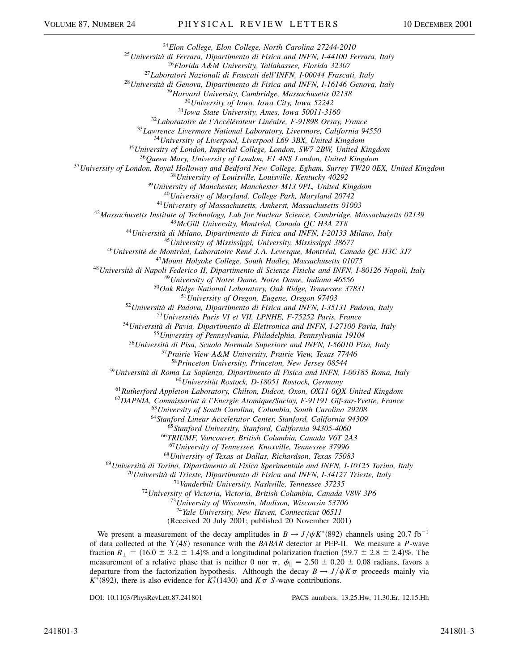*Elon College, Elon College, North Carolina 27244-2010*

*Università di Ferrara, Dipartimento di Fisica and INFN, I-44100 Ferrara, Italy*

*Florida A&M University, Tallahassee, Florida 32307*

*Laboratori Nazionali di Frascati dell'INFN, I-00044 Frascati, Italy*

*Università di Genova, Dipartimento di Fisica and INFN, I-16146 Genova, Italy*

*Harvard University, Cambridge, Massachusetts 02138*

*University of Iowa, Iowa City, Iowa 52242*

*Iowa State University, Ames, Iowa 50011-3160*

*Laboratoire de l'Accélérateur Linéaire, F-91898 Orsay, France*

*Lawrence Livermore National Laboratory, Livermore, California 94550*

*University of Liverpool, Liverpool L69 3BX, United Kingdom*

*University of London, Imperial College, London, SW7 2BW, United Kingdom*

*Queen Mary, University of London, E1 4NS London, United Kingdom*

*University of London, Royal Holloway and Bedford New College, Egham, Surrey TW20 0EX, United Kingdom*

*University of Louisville, Louisville, Kentucky 40292*

*University of Manchester, Manchester M13 9PL, United Kingdom*

*University of Maryland, College Park, Maryland 20742*

*University of Massachusetts, Amherst, Massachusetts 01003*

*Massachusetts Institute of Technology, Lab for Nuclear Science, Cambridge, Massachusetts 02139*

*McGill University, Montréal, Canada QC H3A 2T8*

*Università di Milano, Dipartimento di Fisica and INFN, I-20133 Milano, Italy*

*University of Mississippi, University, Mississippi 38677*

*Université de Montréal, Laboratoire René J. A. Levesque, Montréal, Canada QC H3C 3J7*

*Mount Holyoke College, South Hadley, Massachusetts 01075*

*Università di Napoli Federico II, Dipartimento di Scienze Fisiche and INFN, I-80126 Napoli, Italy*

*University of Notre Dame, Notre Dame, Indiana 46556*

*Oak Ridge National Laboratory, Oak Ridge, Tennessee 37831*

*University of Oregon, Eugene, Oregon 97403*

*Università di Padova, Dipartimento di Fisica and INFN, I-35131 Padova, Italy*

*Universités Paris VI et VII, LPNHE, F-75252 Paris, France*

*Università di Pavia, Dipartimento di Elettronica and INFN, I-27100 Pavia, Italy*

*University of Pennsylvania, Philadelphia, Pennsylvania 19104*

*Università di Pisa, Scuola Normale Superiore and INFN, I-56010 Pisa, Italy*

*Prairie View A&M University, Prairie View, Texas 77446*

*Princeton University, Princeton, New Jersey 08544*

*Università di Roma La Sapienza, Dipartimento di Fisica and INFN, I-00185 Roma, Italy*

*Universität Rostock, D-18051 Rostock, Germany*

*Rutherford Appleton Laboratory, Chilton, Didcot, Oxon, OX11 0QX United Kingdom*

*DAPNIA, Commissariat à l'Energie Atomique/Saclay, F-91191 Gif-sur-Yvette, France*

*University of South Carolina, Columbia, South Carolina 29208*

*Stanford Linear Accelerator Center, Stanford, California 94309*

*Stanford University, Stanford, California 94305-4060*

*TRIUMF, Vancouver, British Columbia, Canada V6T 2A3*

*University of Tennessee, Knoxville, Tennessee 37996*

*University of Texas at Dallas, Richardson, Texas 75083*

*Università di Torino, Dipartimento di Fisica Sperimentale and INFN, I-10125 Torino, Italy*

*Università di Trieste, Dipartimento di Fisica and INFN, I-34127 Trieste, Italy*

*Vanderbilt University, Nashville, Tennessee 37235*

*University of Victoria, Victoria, British Columbia, Canada V8W 3P6*

*University of Wisconsin, Madison, Wisconsin 53706*

*Yale University, New Haven, Connecticut 06511*

(Received 20 July 2001; published 20 November 2001)

We present a measurement of the decay amplitudes in  $B \to J/\psi K^*(892)$  channels using 20.7 fb<sup>-1</sup> of data collected at the Y-4*S* resonance with the *BABAR* detector at PEP-II. We measure a *P*-wave fraction  $R_{\perp} = (16.0 \pm 3.2 \pm 1.4)\%$  and a longitudinal polarization fraction  $(59.7 \pm 2.8 \pm 2.4)\%$ . The measurement of a relative phase that is neither 0 nor  $\pi$ ,  $\phi_{\parallel} = 2.50 \pm 0.20 \pm 0.08$  radians, favors a departure from the factorization hypothesis. Although the decay  $B \to J/\psi K \pi$  proceeds mainly via  $K^*(892)$ , there is also evidence for  $K_2^*(1430)$  and  $K\pi$  *S*-wave contributions.

DOI: 10.1103/PhysRevLett.87.241801 PACS numbers: 13.25.Hw, 11.30.Er, 12.15.Hh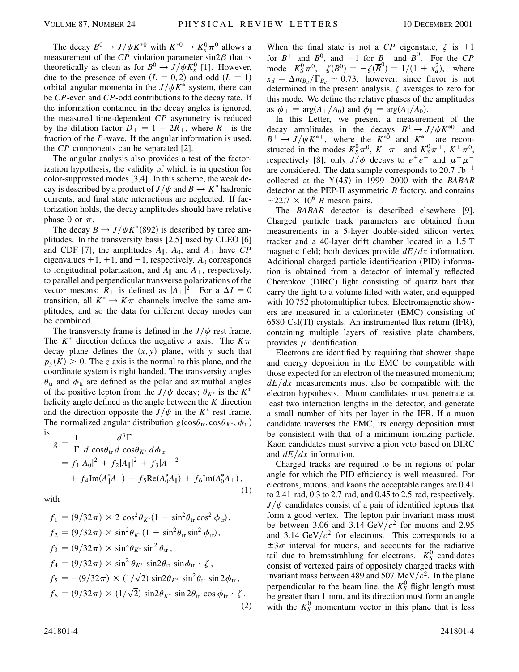The decay  $B^0 \to J/\psi K^{*0}$  with  $K^{*0} \to K_s^0 \pi^0$  allows a measurement of the  $\overline{CP}$  violation parameter sin2 $\beta$  that is theoretically as clean as for  $B^0 \rightarrow J/\psi K_s^0$  [1]. However, due to the presence of even  $(L = 0, 2)$  and odd  $(L = 1)$ orbital angular momenta in the  $J/\psi K^*$  system, there can be *CP*-even and *CP*-odd contributions to the decay rate. If the information contained in the decay angles is ignored, the measured time-dependent *CP* asymmetry is reduced by the dilution factor  $D_{\perp} = 1 - 2R_{\perp}$ , where  $R_{\perp}$  is the fraction of the *P*-wave. If the angular information is used, the *CP* components can be separated [2].

The angular analysis also provides a test of the factorization hypothesis, the validity of which is in question for color-suppressed modes [3,4]. In this scheme, the weak decay is described by a product of  $J/\psi$  and  $B \to K^*$  hadronic currents, and final state interactions are neglected. If factorization holds, the decay amplitudes should have relative phase 0 or  $\pi$ .

The decay  $B \to J/\psi K^*(892)$  is described by three amplitudes. In the transversity basis [2,5] used by CLEO [6] and CDF [7], the amplitudes  $A_{\parallel}$ ,  $A_0$ , and  $A_{\perp}$  have *CP* eigenvalues  $+1$ ,  $+1$ , and  $-1$ , respectively. *A*<sub>0</sub> corresponds to longitudinal polarization, and  $A_{\parallel}$  and  $A_{\perp}$ , respectively, to parallel and perpendicular transverse polarizations of the vector mesons;  $R_{\perp}$  is defined as  $|A_{\perp}|^2$ . For a  $\Delta I = 0$ transition, all  $K^* \to K \pi$  channels involve the same amplitudes, and so the data for different decay modes can be combined.

The transversity frame is defined in the  $J/\psi$  rest frame. The  $K^*$  direction defines the negative *x* axis. The  $K\pi$ decay plane defines the  $(x, y)$  plane, with *y* such that  $p_y(K) > 0$ . The *z* axis is the normal to this plane, and the coordinate system is right handed. The transversity angles  $\theta_{tr}$  and  $\phi_{tr}$  are defined as the polar and azimuthal angles of the positive lepton from the *J*/ $\psi$  decay;  $\theta_{K^*}$  is the  $K^*$ helicity angle defined as the angle between the *K* direction and the direction opposite the  $J/\psi$  in the  $K^*$  rest frame. The normalized angular distribution  $g(\cos\theta_{tr}, \cos\theta_{K^*}, \phi_{tr})$ is

$$
g = \frac{1}{\Gamma} \frac{d^3 \Gamma}{d \cos \theta_{\text{tr}} d \cos \theta_{K^*} d\phi_{\text{tr}}}
$$
  
=  $f_1 |A_0|^2 + f_2 |A_{\parallel}|^2 + f_3 |A_{\perp}|^2$   
+  $f_4 \text{Im}(A_{\parallel}^* A_{\perp}) + f_5 \text{Re}(A_0^* A_{\parallel}) + f_6 \text{Im}(A_0^* A_{\perp}),$  (1)

with

$$
f_1 = (9/32\pi) \times 2 \cos^2 \theta_{K^*} (1 - \sin^2 \theta_{tr} \cos^2 \phi_{tr}),
$$
  
\n
$$
f_2 = (9/32\pi) \times \sin^2 \theta_{K^*} (1 - \sin^2 \theta_{tr} \sin^2 \phi_{tr}),
$$
  
\n
$$
f_3 = (9/32\pi) \times \sin^2 \theta_{K^*} \sin^2 \theta_{tr},
$$
  
\n
$$
f_4 = (9/32\pi) \times \sin^2 \theta_{K^*} \sin 2\theta_{tr} \sin \phi_{tr} \cdot \zeta,
$$
  
\n
$$
f_5 = -(9/32\pi) \times (1/\sqrt{2}) \sin 2\theta_{K^*} \sin^2 \theta_{tr} \sin 2\phi_{tr},
$$
  
\n
$$
f_6 = (9/32\pi) \times (1/\sqrt{2}) \sin 2\theta_{K^*} \sin 2\theta_{tr} \cos \phi_{tr} \cdot \zeta.
$$
  
\n(2)

When the final state is not a *CP* eigenstate,  $\zeta$  is +1 for  $B^+$  and  $B^0$ , and  $-1$  for  $B^-$  and  $\overline{B}^0$ . For the *CP* mode  $K_S^0 \pi^0$ ,  $\zeta(B^0) = -\zeta(\overline{B}^0) = 1/(1 + x_d^2)$ , where  $x_d = \Delta m_{B_d}/\Gamma_{B_d} \sim 0.73$ ; however, since flavor is not determined in the present analysis,  $\zeta$  averages to zero for this mode. We define the relative phases of the amplitudes as  $\phi_{\perp} = \arg(A_{\perp}/A_0)$  and  $\phi_{\parallel} = \arg(A_{\parallel}/A_0)$ .

In this Letter, we present a measurement of the decay amplitudes in the decays  $B^0 \rightarrow J/\psi K^{*0}$  and  $B^+ \rightarrow J/\psi K^{*+}$ , where the  $K^{*0}$  and  $K^{*+}$  are reconstructed in the modes  $K_S^0 \pi^0$ ,  $K^+ \pi^-$  and  $K_S^0 \pi^+$ ,  $K^+ \pi^0$ , respectively [8]; only  $J/\psi$  decays to  $e^+e^-$  and  $\mu^+\mu^$ are considered. The data sample corresponds to  $20.7 \text{ fb}^{-1}$ collected at the  $Y(4S)$  in 1999–2000 with the *BABAR* detector at the PEP-II asymmetric *B* factory, and contains  $\sim$ 22.7  $\times$  10<sup>6</sup> *B* meson pairs.

The *BABAR* detector is described elsewhere [9]. Charged particle track parameters are obtained from measurements in a 5-layer double-sided silicon vertex tracker and a 40-layer drift chamber located in a 1.5 T magnetic field; both devices provide  $dE/dx$  information. Additional charged particle identification (PID) information is obtained from a detector of internally reflected Cherenkov (DIRC) light consisting of quartz bars that carry the light to a volume filled with water, and equipped with 10 752 photomultiplier tubes. Electromagnetic showers are measured in a calorimeter (EMC) consisting of 6580 CsI(Tl) crystals. An instrumented flux return (IFR), containing multiple layers of resistive plate chambers, provides  $\mu$  identification.

Electrons are identified by requiring that shower shape and energy deposition in the EMC be compatible with those expected for an electron of the measured momentum;  $dE/dx$  measurements must also be compatible with the electron hypothesis. Muon candidates must penetrate at least two interaction lengths in the detector, and generate a small number of hits per layer in the IFR. If a muon candidate traverses the EMC, its energy deposition must be consistent with that of a minimum ionizing particle. Kaon candidates must survive a pion veto based on DIRC and *dEdx* information.

Charged tracks are required to be in regions of polar angle for which the PID efficiency is well measured. For electrons, muons, and kaons the acceptable ranges are 0.41 to 2.41 rad, 0.3 to 2.7 rad, and 0.45 to 2.5 rad, respectively.  $J/\psi$  candidates consist of a pair of identified leptons that form a good vertex. The lepton pair invariant mass must be between 3.06 and 3.14  $GeV/c^2$  for muons and 2.95 and 3.14  $GeV/c^2$  for electrons. This corresponds to a  $\pm 3\sigma$  interval for muons, and accounts for the radiative tail due to bremsstrahlung for electrons.  $K_S^0$  candidates consist of vertexed pairs of oppositely charged tracks with invariant mass between 489 and 507 MeV $/c<sup>2</sup>$ . In the plane perpendicular to the beam line, the  $K_S^0$  flight length must be greater than 1 mm, and its direction must form an angle with the  $K_S^0$  momentum vector in this plane that is less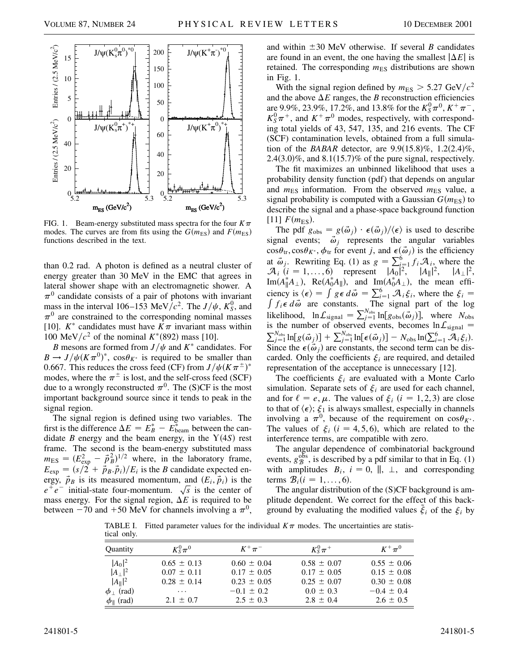

FIG. 1. Beam-energy substituted mass spectra for the four  $K\pi$ modes. The curves are from fits using the  $G(m_{ES})$  and  $F(m_{ES})$ functions described in the text.

than 0.2 rad. A photon is defined as a neutral cluster of energy greater than 30 MeV in the EMC that agrees in lateral shower shape with an electromagnetic shower. A  $\pi^0$  candidate consists of a pair of photons with invariant mass in the interval 106–153 MeV/ $c^2$ . The  $J/\psi$ ,  $K_S^0$ , and  $\pi^0$  are constrained to the corresponding nominal masses [10].  $K^*$  candidates must have  $K\pi$  invariant mass within 100 MeV/ $c^2$  of the nominal  $K^*(892)$  mass [10].

*B* mesons are formed from  $J/\psi$  and  $K^*$  candidates. For  $B \to J/\psi (K \pi^0)^*$ ,  $\cos \theta_{K^*}$  is required to be smaller than 0.667. This reduces the cross feed (CF) from  $J/\psi(K\pi^{\pm})^*$ modes, where the  $\pi^{\pm}$  is lost, and the self-cross feed (SCF) due to a wrongly reconstructed  $\pi^0$ . The (S)CF is the most important background source since it tends to peak in the signal region.

The signal region is defined using two variables. The first is the difference  $\Delta E = E_B^* - E_{\text{beam}}^*$  between the candidate *B* energy and the beam energy, in the  $Y(4S)$  rest frame. The second is the beam-energy substituted mass  $m_{\text{ES}} = (E_{\text{exp}}^2 - \vec{p}_B^2)^{1/2}$  where, in the laboratory frame,  $E_{\text{exp}} = (s/2 + \vec{p}_B \cdot \vec{p}_i)/E_i$  is the *B* candidate expected energy,  $\vec{p}_B$  is its measured momentum, and  $(E_i, \vec{p}_i)$  is the  $e^+e^-$  initial-state four-momentum.  $\sqrt{s}$  is the center of mass energy. For the signal region,  $\Delta E$  is required to be between  $-70$  and  $+50$  MeV for channels involving a  $\pi^{0}$ , and within  $\pm 30$  MeV otherwise. If several *B* candidates are found in an event, the one having the smallest  $|\Delta E|$  is retained. The corresponding  $m<sub>ES</sub>$  distributions are shown in Fig. 1.

With the signal region defined by  $m_{ES} > 5.27 \text{ GeV}/c^2$ and the above  $\Delta E$  ranges, the *B* reconstruction efficiencies are 9.9%, 23.9%, 17.2%, and 13.8% for the  $K_S^0 \pi^0$ ,  $K^+ \pi^-$ ,  $K_S^0 \pi^+$ , and  $K^+ \pi^0$  modes, respectively, with corresponding total yields of 43, 547, 135, and 216 events. The CF (SCF) contamination levels, obtained from a full simulation of the *BABAR* detector, are  $9.9(15.8)\%$ ,  $1.2(2.4)\%$ ,  $2.4(3.0)\%$ , and  $8.1(15.7)\%$  of the pure signal, respectively.

The fit maximizes an unbinned likelihood that uses a probability density function (pdf) that depends on angular and  $m_{ES}$  information. From the observed  $m_{ES}$  value, a signal probability is computed with a Gaussian  $G(m<sub>ES</sub>)$  to describe the signal and a phase-space background function [11]  $F(m_{ES})$ .

The pdf  $g_{obs} = g(\vec{\omega}_j) \cdot \epsilon(\vec{\omega}_j) / \langle \epsilon \rangle$  is used to describe signal events;  $\vec{\omega}_j$  represents the angular variables  $\cos\theta_{tr}, \cos\theta_{K^*}, \phi_{tr}$  for event *j*, and  $\epsilon(\vec{\omega}_j)$  is the efficiency at  $\vec{\omega}_j$ . Rewriting Eq. (1) as  $g = \sum_{i=1}^{6} f_i \mathcal{A}_{i,j}$  where the  $\mathcal{A}_i$  (*i* = 1,...,6) represent  $|A_0|^2$ ,  $|A_{\parallel}|^2$ ,  $|A_{\perp}|^2$ ,  $\text{Im}(A_{\parallel}^*A_{\perp}), \text{ Re}(A_0^*A_{\parallel}), \text{ and } \text{Im}(A_0^*A_{\perp}), \text{ the mean effi-}$ ciency is  $\langle \epsilon \rangle = \int g \epsilon d\vec{\omega} = \sum_{i=1}^{6} A_i \xi_i$ , where the  $\xi_i = \int g \epsilon d\vec{\omega}$ *f*<sub>*i*</sub> $\epsilon$  *d* $\vec{\omega}$  are constants. The signal part of the log likelihood,  $\ln L_{\text{signal}} = \sum_{j=1}^{N_{\text{obs}}} \ln [g_{\text{obs}}(\vec{\omega}_j)]$ , where *N*<sub>obs</sub> is the number of observed events, becomes  $\ln L_{signal} = \nabla^{N_{obs}} \ln [e(\vec{z})] + \nabla^{N_{obs}} \ln [e(\vec{z})] = M_{per} \ln (\nabla^6 - 2\vec{z})$  $\frac{N_{\text{obs}}}{N_{\text{obs}}}$   $\ln[\log(\vec{\omega}_j)] + \sum_{j=1}^{N_{\text{obs}}} \ln[\epsilon(\vec{\omega}_j)] - N_{\text{obs}} \ln(\sum_{i=1}^{6} \mathcal{A}_i \xi_i).$ Since the  $\epsilon(\vec{\omega}_j)$  are constants, the second term can be discarded. Only the coefficients  $\xi$ <sub>*i*</sub> are required, and detailed representation of the acceptance is unnecessary [12].

The coefficients  $\xi$ <sup>*i*</sup> are evaluated with a Monte Carlo simulation. Separate sets of  $\xi$ <sup>*i*</sup> are used for each channel, and for  $\ell = e, \mu$ . The values of  $\xi_i$   $(i = 1, 2, 3)$  are close to that of  $\langle \epsilon \rangle$ ;  $\xi_1$  is always smallest, especially in channels involving a  $\pi^0$ , because of the requirement on  $\cos\theta_{K^*}$ . The values of  $\xi_i$  (*i* = 4, 5, 6), which are related to the interference terms, are compatible with zero.

The angular dependence of combinatorial background events,  $g_B^{\text{obs}}$ , is described by a pdf similar to that in Eq. (1) with amplitudes  $B_i$ ,  $i = 0$ ,  $\parallel$ ,  $\perp$ , and corresponding terms  $\mathcal{B}_i$  (*i* = 1, . . . , 6).

The angular distribution of the (S)CF background is amplitude dependent. We correct for the effect of this background by evaluating the modified values  $\zeta_i$  of the  $\zeta_i$  by

TABLE I. Fitted parameter values for the individual  $K\pi$  modes. The uncertainties are statistical only.

| Quantity                       | $K^0_S\pi^0$    | $K^+\pi^-$      | $K_S^0 \pi^+$   | $K^+\pi^0$      |
|--------------------------------|-----------------|-----------------|-----------------|-----------------|
| $ A_0 ^2$                      | $0.65 \pm 0.13$ | $0.60 \pm 0.04$ | $0.58 \pm 0.07$ | $0.55 \pm 0.06$ |
| $ A_\perp ^2$                  | $0.07 \pm 0.11$ | $0.17 \pm 0.05$ | $0.17 \pm 0.05$ | $0.15 \pm 0.08$ |
| $ A_{\parallel} ^2$            | $0.28 \pm 0.14$ | $0.23 \pm 0.05$ | $0.25 \pm 0.07$ | $0.30 \pm 0.08$ |
| $\text{rad}$<br>$\phi_{\perp}$ | $\cdots$        | $-0.1 \pm 0.2$  | $0.0 \pm 0.3$   | $-0.4 \pm 0.4$  |
| $\phi_{\parallel}$ (rad)       | $2.1 \pm 0.7$   | $2.5 \pm 0.3$   | $2.8 \pm 0.4$   | $2.6 \pm 0.5$   |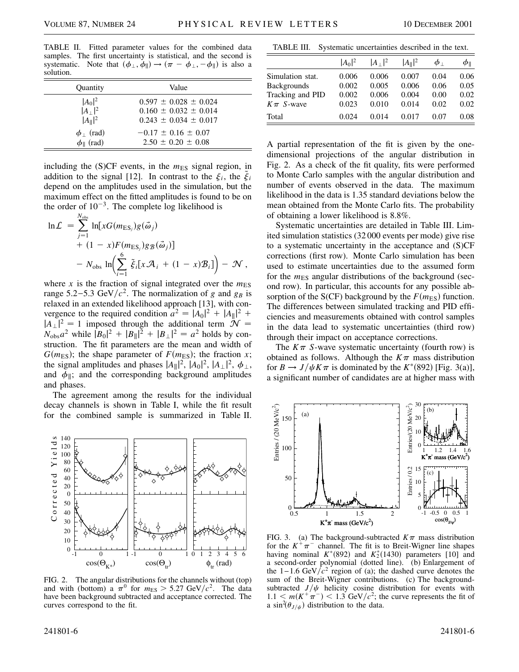TABLE II. Fitted parameter values for the combined data samples. The first uncertainty is statistical, and the second is systematic. Note that  $(\phi_{\perp}, \dot{\phi}_{\parallel}) \rightarrow (\pi - \phi_{\perp}, -\phi_{\parallel})$  is also a solution.

| Quantity                 | Value                       |
|--------------------------|-----------------------------|
| $ A_0 ^2$                | $0.597 \pm 0.028 \pm 0.024$ |
| $ A_\perp ^2$            | $0.160 \pm 0.032 \pm 0.014$ |
| $ A_{\parallel} ^2$      | $0.243 \pm 0.034 \pm 0.017$ |
| $\phi_{\perp}$ (rad)     | $-0.17 \pm 0.16 \pm 0.07$   |
| $\phi_{\parallel}$ (rad) | $2.50 \pm 0.20 \pm 0.08$    |

including the  $(S)CF$  events, in the  $m_{ES}$  signal region, in addition to the signal [12]. In contrast to the  $\xi_i$ , the  $\xi_i$ depend on the amplitudes used in the simulation, but the maximum effect on the fitted amplitudes is found to be on the order of  $10^{-3}$ . The complete log likelihood is

$$
\ln \mathcal{L} = \sum_{j=1}^{N_{\text{obs}}} \ln[xG(m_{\text{ES}_j})g(\vec{\omega}_j) + (1-x)F(m_{\text{ES}_j})gg(\vec{\omega}_j)] - N_{\text{obs}} \ln\left(\sum_{i=1}^{6} \tilde{\xi}_i[x\mathcal{A}_i + (1-x)\mathcal{B}_i]\right) - \mathcal{N},
$$

where x is the fraction of signal integrated over the  $m<sub>ES</sub>$ range 5.2–5.3 GeV/ $c^2$ . The normalization of *g* and *g<sub>B</sub>* is relaxed in an extended likelihood approach [13], with convergence to the required condition  $a^2 = |A_0|^2 + |A_{\parallel}|^2 +$  $|A_{\perp}|^2 = 1$  imposed through the additional term  $\mathcal{N} =$  $N_{\text{obs}}a^2$  while  $|B_0|^2 + |B_{\parallel}|^2 + |B_{\perp}|^2 = a^2$  holds by construction. The fit parameters are the mean and width of  $G(m_{ES})$ ; the shape parameter of  $F(m_{ES})$ ; the fraction *x*; the signal amplitudes and phases  $|A_{\parallel}|^2$ ,  $|A_0|^2$ ,  $|A_{\perp}|^2$ ,  $\phi_{\perp}$ , and  $\phi_{\parallel}$ ; and the corresponding background amplitudes and phases.

The agreement among the results for the individual decay channels is shown in Table I, while the fit result for the combined sample is summarized in Table II.



FIG. 2. The angular distributions for the channels without (top) and with (bottom) a  $\pi^0$  for  $m_{ES} > 5.27 \text{ GeV}/c^2$ . The data have been background subtracted and acceptance corrected. The curves correspond to the fit.

TABLE III. Systematic uncertainties described in the text.

|                    | $ A_0 ^2$ | $ A_\perp ^2$ | $ A_{\parallel} ^2$ | $\phi_{\perp}$ | $\phi_{\parallel}$ |
|--------------------|-----------|---------------|---------------------|----------------|--------------------|
| Simulation stat.   | 0.006     | 0.006         | 0.007               | 0.04           | 0.06               |
| <b>Backgrounds</b> | 0.002     | 0.005         | 0.006               | 0.06           | 0.05               |
| Tracking and PID   | 0.002     | 0.006         | 0.004               | 0.00           | 0.02               |
| $K\pi$ S-wave      | 0.023     | 0.010         | 0.014               | 0.02           | 0.02               |
| Total              | 0.024     | 0.014         | 0.017               | 0.07           | 0.08               |

A partial representation of the fit is given by the onedimensional projections of the angular distribution in Fig. 2. As a check of the fit quality, fits were performed to Monte Carlo samples with the angular distribution and number of events observed in the data. The maximum likelihood in the data is 1.35 standard deviations below the mean obtained from the Monte Carlo fits. The probability of obtaining a lower likelihood is 8.8%.

Systematic uncertainties are detailed in Table III. Limited simulation statistics (32 000 events per mode) give rise to a systematic uncertainty in the acceptance and (S)CF corrections (first row). Monte Carlo simulation has been used to estimate uncertainties due to the assumed form for the  $m<sub>ES</sub>$  angular distributions of the background (second row). In particular, this accounts for any possible absorption of the S(CF) background by the  $F(m<sub>ES</sub>)$  function. The differences between simulated tracking and PID efficiencies and measurements obtained with control samples in the data lead to systematic uncertainties (third row) through their impact on acceptance corrections.

The  $K\pi$  *S*-wave systematic uncertainty (fourth row) is obtained as follows. Although the  $K\pi$  mass distribution for  $B \to J/\psi K \pi$  is dominated by the  $K^*(892)$  [Fig. 3(a)], a significant number of candidates are at higher mass with



FIG. 3. (a) The background-subtracted  $K\pi$  mass distribution for the  $K^+\pi^-$  channel. The fit is to Breit-Wigner line shapes having nominal  $K^*(892)$  and  $K^*_2(1430)$  parameters [10] and a second-order polynomial (dotted line). (b) Enlargement of the  $1 - 1.6$  GeV/ $c^2$  region of (a); the dashed curve denotes the sum of the Breit-Wigner contributions. (c) The backgroundsubtracted  $J/\psi$  helicity cosine distribution for events with  $1.1 < m(K^+\pi^-) < 1.3$  GeV/ $c^2$ ; the curve represents the fit of a  $\sin^2(\theta_{J/\psi})$  distribution to the data.